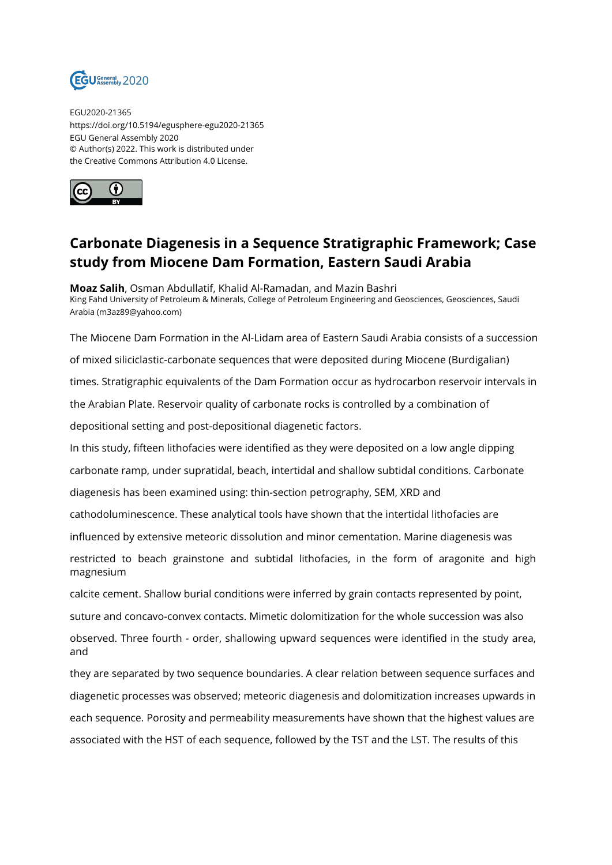

EGU2020-21365 https://doi.org/10.5194/egusphere-egu2020-21365 EGU General Assembly 2020 © Author(s) 2022. This work is distributed under the Creative Commons Attribution 4.0 License.



## **Carbonate Diagenesis in a Sequence Stratigraphic Framework; Case study from Miocene Dam Formation, Eastern Saudi Arabia**

**Moaz Salih**, Osman Abdullatif, Khalid Al-Ramadan, and Mazin Bashri King Fahd University of Petroleum & Minerals, College of Petroleum Engineering and Geosciences, Geosciences, Saudi Arabia (m3az89@yahoo.com)

The Miocene Dam Formation in the Al-Lidam area of Eastern Saudi Arabia consists of a succession of mixed siliciclastic-carbonate sequences that were deposited during Miocene (Burdigalian) times. Stratigraphic equivalents of the Dam Formation occur as hydrocarbon reservoir intervals in the Arabian Plate. Reservoir quality of carbonate rocks is controlled by a combination of depositional setting and post-depositional diagenetic factors. In this study, fifteen lithofacies were identified as they were deposited on a low angle dipping carbonate ramp, under supratidal, beach, intertidal and shallow subtidal conditions. Carbonate diagenesis has been examined using: thin-section petrography, SEM, XRD and cathodoluminescence. These analytical tools have shown that the intertidal lithofacies are influenced by extensive meteoric dissolution and minor cementation. Marine diagenesis was restricted to beach grainstone and subtidal lithofacies, in the form of aragonite and high magnesium calcite cement. Shallow burial conditions were inferred by grain contacts represented by point, suture and concavo-convex contacts. Mimetic dolomitization for the whole succession was also observed. Three fourth - order, shallowing upward sequences were identified in the study area, and they are separated by two sequence boundaries. A clear relation between sequence surfaces and diagenetic processes was observed; meteoric diagenesis and dolomitization increases upwards in each sequence. Porosity and permeability measurements have shown that the highest values are associated with the HST of each sequence, followed by the TST and the LST. The results of this